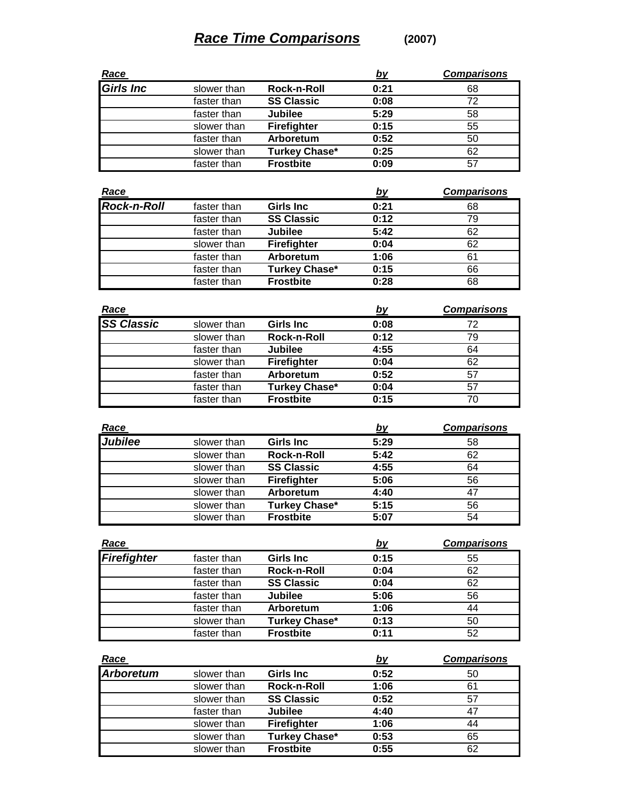## **Race Time Comparisons (2007)**

| Race             |             |                    | <u>by</u> | <b>Comparisons</b> |
|------------------|-------------|--------------------|-----------|--------------------|
| <b>Girls Inc</b> | slower than | Rock-n-Roll        | 0:21      | 68                 |
|                  | faster than | <b>SS Classic</b>  | 0:08      | 72                 |
|                  | faster than | <b>Jubilee</b>     | 5:29      | 58                 |
|                  | slower than | <b>Firefighter</b> | 0:15      | 55                 |
|                  | faster than | Arboretum          | 0:52      | 50                 |
|                  | slower than | Turkey Chase*      | 0:25      | 62                 |
|                  | faster than | <b>Frostbite</b>   | 0:09      | 57                 |

| Race               |             |                      | <u>by</u> | <b>Comparisons</b> |
|--------------------|-------------|----------------------|-----------|--------------------|
| <b>Rock-n-Roll</b> | faster than | <b>Girls Inc</b>     | 0:21      | 68                 |
|                    | faster than | <b>SS Classic</b>    | 0:12      | 79                 |
|                    | faster than | Jubilee              | 5:42      | 62                 |
|                    | slower than | <b>Firefighter</b>   | 0:04      | 62                 |
|                    | faster than | Arboretum            | 1:06      | 61                 |
|                    | faster than | <b>Turkey Chase*</b> | 0:15      | 66                 |
|                    | faster than | <b>Frostbite</b>     | 0:28      | 68                 |

| Race              |             |                      | <u>by</u> | <b>Comparisons</b> |
|-------------------|-------------|----------------------|-----------|--------------------|
| <b>SS Classic</b> | slower than | <b>Girls Inc</b>     | 0:08      | 72                 |
|                   | slower than | Rock-n-Roll          | 0:12      | 79                 |
|                   | faster than | <b>Jubilee</b>       | 4:55      | 64                 |
|                   | slower than | <b>Firefighter</b>   | 0:04      | 62                 |
|                   | faster than | Arboretum            | 0:52      | 57                 |
|                   | faster than | <b>Turkey Chase*</b> | 0:04      | 57                 |
|                   | faster than | <b>Frostbite</b>     | 0:15      | 70                 |

| <u>Race</u>    |             |                      | <u>by</u> | <b>Comparisons</b> |
|----------------|-------------|----------------------|-----------|--------------------|
| <b>Jubilee</b> | slower than | <b>Girls Inc</b>     | 5:29      | 58                 |
|                | slower than | Rock-n-Roll          | 5:42      | 62                 |
|                | slower than | <b>SS Classic</b>    | 4:55      | 64                 |
|                | slower than | <b>Firefighter</b>   | 5:06      | 56                 |
|                | slower than | Arboretum            | 4:40      | 47                 |
|                | slower than | <b>Turkey Chase*</b> | 5:15      | 56                 |
|                | slower than | <b>Frostbite</b>     | 5:07      | 54                 |

| Race               |             |                    | <u>by</u> | <b>Comparisons</b> |
|--------------------|-------------|--------------------|-----------|--------------------|
| <b>Firefighter</b> | faster than | Girls Inc          | 0:15      | 55                 |
|                    | faster than | <b>Rock-n-Roll</b> | 0:04      | 62                 |
|                    | faster than | <b>SS Classic</b>  | 0:04      | 62                 |
|                    | faster than | <b>Jubilee</b>     | 5:06      | 56                 |
|                    | faster than | Arboretum          | 1:06      | 44                 |
|                    | slower than | Turkey Chase*      | 0:13      | 50                 |
|                    | faster than | <b>Frostbite</b>   | 0:11      | 52                 |

| Race      |             |                      | <u>by</u> | <b>Comparisons</b> |
|-----------|-------------|----------------------|-----------|--------------------|
| Arboretum | slower than | Girls Inc            | 0:52      | 50                 |
|           | slower than | Rock-n-Roll          | 1:06      | 61                 |
|           | slower than | <b>SS Classic</b>    | 0:52      | 57                 |
|           | faster than | Jubilee              | 4:40      | 47                 |
|           | slower than | Firefighter          | 1:06      | 44                 |
|           | slower than | <b>Turkey Chase*</b> | 0:53      | 65                 |
|           | slower than | <b>Frostbite</b>     | 0:55      | 62                 |